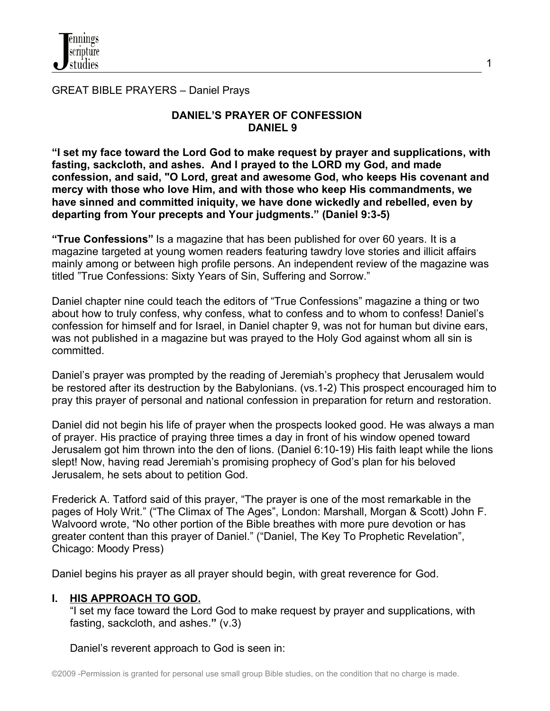GREAT BIBLE PRAYERS – Daniel Prays

# **DANIEL'S PRAYER OF CONFESSION DANIEL 9**

**"I set my face toward the Lord God to make request by prayer and supplications, with fasting, sackcloth, and ashes. And I prayed to the LORD my God, and made confession, and said, "O Lord, great and awesome God, who keeps His covenant and mercy with those who love Him, and with those who keep His commandments, we have sinned and committed iniquity, we have done wickedly and rebelled, even by departing from Your precepts and Your judgments." (Daniel 9:3-5)**

**"True Confessions"** Is a magazine that has been published for over 60 years. It is a [magazine](http://en.wikipedia.org/wiki/Confession_magazine) targeted at young women readers featuring tawdry love stories and illicit affairs mainly among or between high profile persons. An independent review of the magazine was titled "True Confessions: Sixty Years of Sin, Suffering and Sorrow."

Daniel chapter nine could teach the editors of "True Confessions" magazine a thing or two about how to truly confess, why confess, what to confess and to whom to confess! Daniel's confession for himself and for Israel, in Daniel chapter 9, was not for human but divine ears, was not published in a magazine but was prayed to the Holy God against whom all sin is committed.

Daniel's prayer was prompted by the reading of Jeremiah's prophecy that Jerusalem would be restored after its destruction by the Babylonians. (vs.1-2) This prospect encouraged him to pray this prayer of personal and national confession in preparation for return and restoration.

Daniel did not begin his life of prayer when the prospects looked good. He was always a man of prayer. His practice of praying three times a day in front of his window opened toward Jerusalem got him thrown into the den of lions. (Daniel 6:10-19) His faith leapt while the lions slept! Now, having read Jeremiah's promising prophecy of God's plan for his beloved Jerusalem, he sets about to petition God.

Frederick A. Tatford said of this prayer, "The prayer is one of the most remarkable in the pages of Holy Writ." ("The Climax of The Ages", London: Marshall, Morgan & Scott) John F. Walvoord wrote, "No other portion of the Bible breathes with more pure devotion or has greater content than this prayer of Daniel." ("Daniel, The Key To Prophetic Revelation", Chicago: Moody Press)

Daniel begins his prayer as all prayer should begin, with great reverence for God.

# **I. HIS APPROACH TO GOD.**

 "I set my face toward the Lord God to make request by prayer and supplications, with fasting, sackcloth, and ashes.**"** (v.3)

Daniel's reverent approach to God is seen in: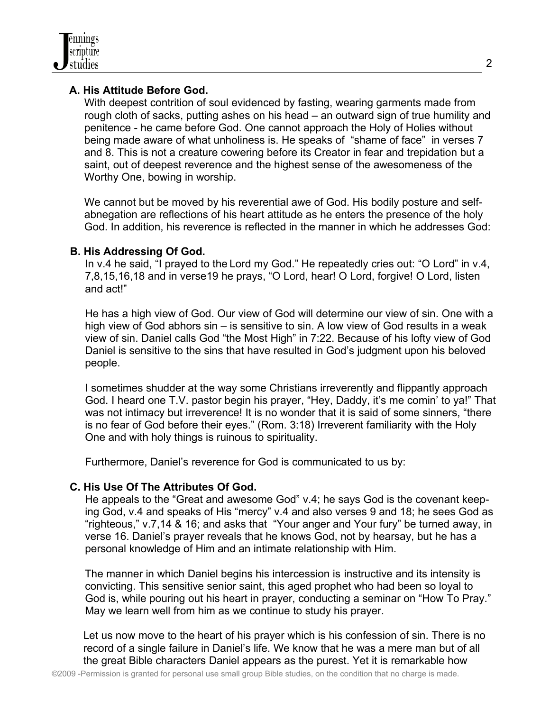

# **A. His Attitude Before God.**

With deepest contrition of soul evidenced by fasting, wearing garments made from rough cloth of sacks, putting ashes on his head – an outward sign of true humility and penitence - he came before God. One cannot approach the Holy of Holies without being made aware of what unholiness is. He speaks of "shame of face" in verses 7 and 8. This is not a creature cowering before its Creator in fear and trepidation but a saint, out of deepest reverence and the highest sense of the awesomeness of the Worthy One, bowing in worship.

 We cannot but be moved by his reverential awe of God. His bodily posture and self abnegation are reflections of his heart attitude as he enters the presence of the holy God. In addition, his reverence is reflected in the manner in which he addresses God:

# **B. His Addressing Of God.**

 In v.4 he said, "I prayed to the Lord my God." He repeatedly cries out: "O Lord" in v.4, 7,8,15,16,18 and in verse19 he prays, "O Lord, hear! O Lord, forgive! O Lord, listen and act!"

 He has a high view of God. Our view of God will determine our view of sin. One with a high view of God abhors sin – is sensitive to sin. A low view of God results in a weak view of sin. Daniel calls God "the Most High" in 7:22. Because of his lofty view of God Daniel is sensitive to the sins that have resulted in God's judgment upon his beloved people.

 I sometimes shudder at the way some Christians irreverently and flippantly approach God. I heard one T.V. pastor begin his prayer, "Hey, Daddy, it's me comin' to ya!" That was not intimacy but irreverence! It is no wonder that it is said of some sinners, "there is no fear of God before their eyes." (Rom. 3:18) Irreverent familiarity with the Holy One and with holy things is ruinous to spirituality.

Furthermore, Daniel's reverence for God is communicated to us by:

# **C. His Use Of The Attributes Of God.**

 He appeals to the "Great and awesome God" v.4; he says God is the covenant keep ing God, v.4 and speaks of His "mercy" v.4 and also verses 9 and 18; he sees God as "righteous," v.7,14 & 16; and asks that "Your anger and Your fury" be turned away, in verse 16. Daniel's prayer reveals that he knows God, not by hearsay, but he has a personal knowledge of Him and an intimate relationship with Him.

 The manner in which Daniel begins his intercession is instructive and its intensity is convicting. This sensitive senior saint, this aged prophet who had been so loyal to God is, while pouring out his heart in prayer, conducting a seminar on "How To Pray." May we learn well from him as we continue to study his prayer.

Let us now move to the heart of his prayer which is his confession of sin. There is no record of a single failure in Daniel's life. We know that he was a mere man but of all the great Bible characters Daniel appears as the purest. Yet it is remarkable how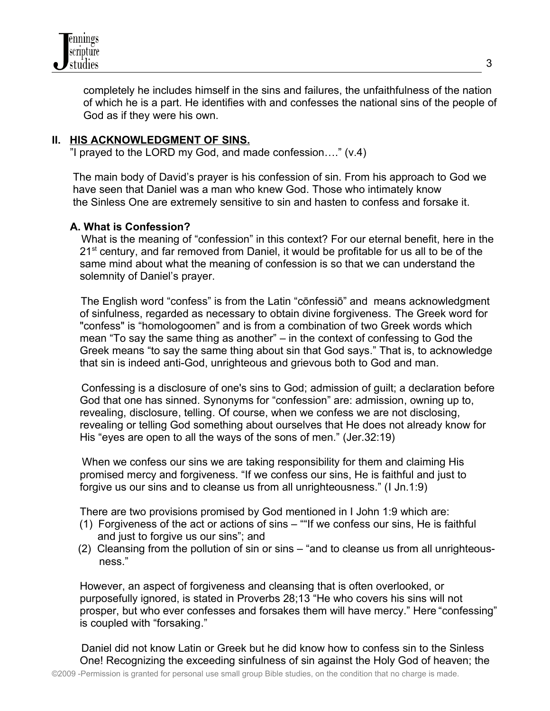

completely he includes himself in the sins and failures, the unfaithfulness of the nation of which he is a part. He identifies with and confesses the national sins of the people of God as if they were his own.

# **II. HIS ACKNOWLEDGMENT OF SINS.**

"I prayed to the LORD my God, and made confession…." (v.4)

 The main body of David's prayer is his confession of sin. From his approach to God we have seen that Daniel was a man who knew God. Those who intimately know the Sinless One are extremely sensitive to sin and hasten to confess and forsake it.

# **A. What is Confession?**

 What is the meaning of "confession" in this context? For our eternal benefit, here in the 21<sup>st</sup> century, and far removed from Daniel, it would be profitable for us all to be of the same mind about what the meaning of confession is so that we can understand the solemnity of Daniel's prayer.

 The English word "confess" is from the [Latin](http://en.wikipedia.org/wiki/Latin_language) "cō[nfessi](http://en.wiktionary.org/wiki/confessio#Latin)ō" and means acknowledgment of sinfulness, regarded as necessary to obtain divine forgiveness. The Greek word for "confess" is "homologoomen" and is from a combination of two Greek words which mean "To say the same thing as another" – in the context of confessing to God the Greek means "to say the same thing about sin that God says." That is, to acknowledge that sin is indeed anti-God, unrighteous and grievous both to God and man.

 Confessing is a disclosure of one's sins to God; admission of guilt; a declaration before God that one has sinned. Synonyms for "confession" are: [admission,](http://www.yourdictionary.com/admission) owning up to, revealing, [disclosure,](http://www.yourdictionary.com/disclosure) [telling.](http://www.yourdictionary.com/telling) Of course, when we confess we are not disclosing, revealing or telling God something about ourselves that He does not already know for His "eyes are open to all the ways of the sons of men." (Jer.32:19)

 When we confess our sins we are taking responsibility for them and claiming His promised mercy and forgiveness. "If we confess our sins, He is faithful and just to forgive us our sins and to cleanse us from all unrighteousness." (I Jn.1:9)

There are two provisions promised by God mentioned in I John 1:9 which are:

- (1) Forgiveness of the act or actions of sins ""If we confess our sins, He is faithful and just to forgive us our sins"; and
- (2) Cleansing from the pollution of sin or sins "and to cleanse us from all unrighteous ness."

However, an aspect of forgiveness and cleansing that is often overlooked, or purposefully ignored, is stated in Proverbs 28;13 "He who covers his sins will not prosper, but who ever confesses and forsakes them will have mercy." Here "confessing" is coupled with "forsaking."

 Daniel did not know Latin or Greek but he did know how to confess sin to the Sinless One! Recognizing the exceeding sinfulness of sin against the Holy God of heaven; the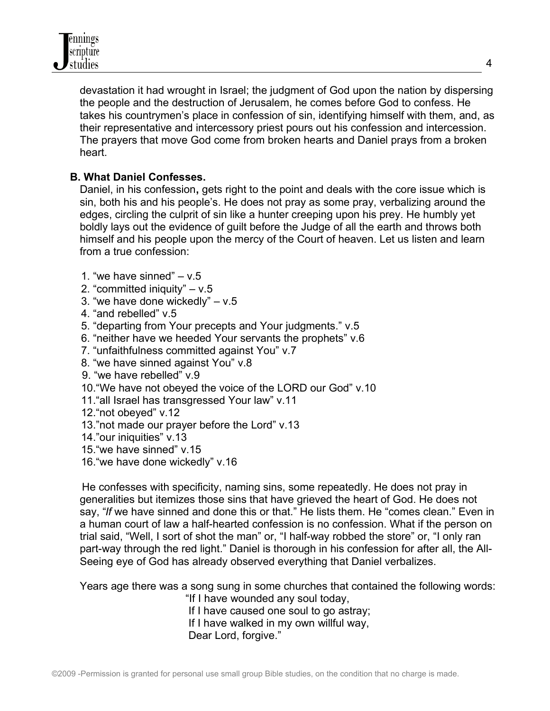devastation it had wrought in Israel; the judgment of God upon the nation by dispersing the people and the destruction of Jerusalem, he comes before God to confess. He takes his countrymen's place in confession of sin, identifying himself with them, and, as their representative and intercessory priest pours out his confession and intercession. The prayers that move God come from broken hearts and Daniel prays from a broken heart.

# **B. What Daniel Confesses.**

Daniel, in his confession**,** gets right to the point and deals with the core issue which is sin, both his and his people's. He does not pray as some pray, verbalizing around the edges, circling the culprit of sin like a hunter creeping upon his prey. He humbly yet boldly lays out the evidence of guilt before the Judge of all the earth and throws both himself and his people upon the mercy of the Court of heaven. Let us listen and learn from a true confession:

- 1. "we have sinned"  $v.5$
- 2. "committed iniquity" v.5
- 3. "we have done wickedly"  $v.5$
- 4. "and rebelled" v.5
- 5. "departing from Your precepts and Your judgments." v.5
- 6. "neither have we heeded Your servants the prophets" v.6
- 7. "unfaithfulness committed against You" v.7
- 8. "we have sinned against You" v.8
- 9. "we have rebelled" v.9
- 10."We have not obeyed the voice of the LORD our God" v.10
- 11."all Israel has transgressed Your law" v.11
- 12."not obeyed" v.12
- 13."not made our prayer before the Lord" v.13
- 14."our iniquities" v.13
- 15."we have sinned" v.15
- 16."we have done wickedly" v.16

 He confesses with specificity, naming sins, some repeatedly. He does not pray in generalities but itemizes those sins that have grieved the heart of God. He does not say, "*If* we have sinned and done this or that." He lists them. He "comes clean." Even in a human court of law a half-hearted confession is no confession. What if the person on trial said, "Well, I sort of shot the man" or, "I half-way robbed the store" or, "I only ran part-way through the red light." Daniel is thorough in his confession for after all, the All-Seeing eye of God has already observed everything that Daniel verbalizes.

Years age there was a song sung in some churches that contained the following words:

"If I have wounded any soul today,

If I have caused one soul to go astray;

If I have walked in my own willful way,

Dear Lord, forgive."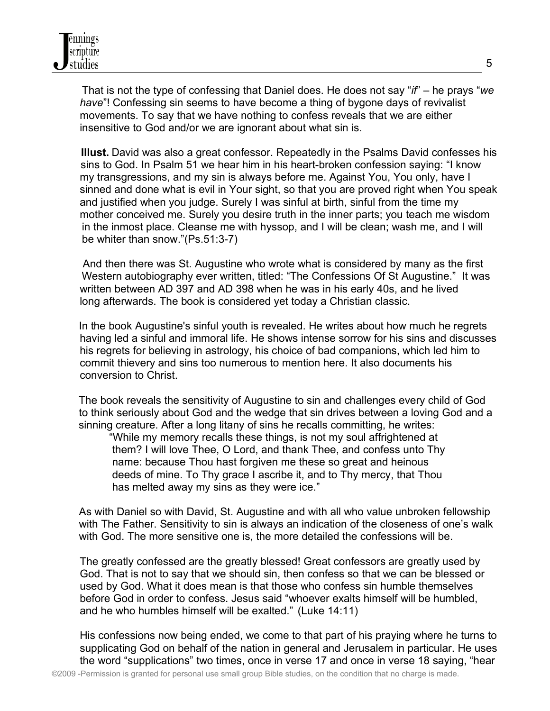That is not the type of confessing that Daniel does. He does not say "*if*" – he prays "*we have*"! Confessing sin seems to have become a thing of bygone days of revivalist movements. To say that we have nothing to confess reveals that we are either insensitive to God and/or we are ignorant about what sin is.

 **Illust.** David was also a great confessor. Repeatedly in the Psalms David confesses his sins to God. In Psalm 51 we hear him in his heart-broken confession saying: "I know my transgressions, and my sin is always before me. Against You, You only, have I sinned and done what is evil in Your sight, so that you are proved right when You speak and justified when you judge. Surely I was sinful at birth, sinful from the time my mother conceived me. Surely you desire truth in the inner parts; you teach me wisdom in the inmost place. Cleanse me with hyssop, and I will be clean; wash me, and I will be whiter than snow."(Ps.51:3-7)

 And then there was St. Augustine who wrote what is considered by many as the first Western autobiography ever written, titled: "The Confessions Of St Augustine." It was written between AD 397 and AD 398 when he was in his early 40s, and he lived long afterwards. The book is considered yet today a Christian classic.

 In the book Augustine's sinful youth is revealed. He writes about how much he regrets having led a sinful and immoral life. He shows intense sorrow for his sins and discusses his regrets for believing in astrology, his choice of bad companions, which led him to commit thievery and sins too numerous to mention here. It also documents his conversion to Christ.

 The book reveals the sensitivity of Augustine to sin and challenges every child of God to think seriously about God and the wedge that sin drives between a loving God and a sinning creature. After a long litany of sins he recalls committing, he writes:

 "While my memory recalls these things, is not my soul affrightened at them? I will love Thee, O Lord, and thank Thee, and confess unto Thy name: because Thou hast forgiven me these so great and heinous deeds of mine. To Thy grace I ascribe it, and to Thy mercy, that Thou has melted away my sins as they were ice."

 As with Daniel so with David, St. Augustine and with all who value unbroken fellowship with The Father. Sensitivity to sin is always an indication of the closeness of one's walk with God. The more sensitive one is, the more detailed the confessions will be.

The greatly confessed are the greatly blessed! Great confessors are greatly used by God. That is not to say that we should sin, then confess so that we can be blessed or used by God. What it does mean is that those who confess sin humble themselves before God in order to confess. Jesus said "whoever exalts himself will be humbled, and he who humbles himself will be exalted." (Luke 14:11)

His confessions now being ended, we come to that part of his praying where he turns to supplicating God on behalf of the nation in general and Jerusalem in particular. He uses the word "supplications" two times, once in verse 17 and once in verse 18 saying, "hear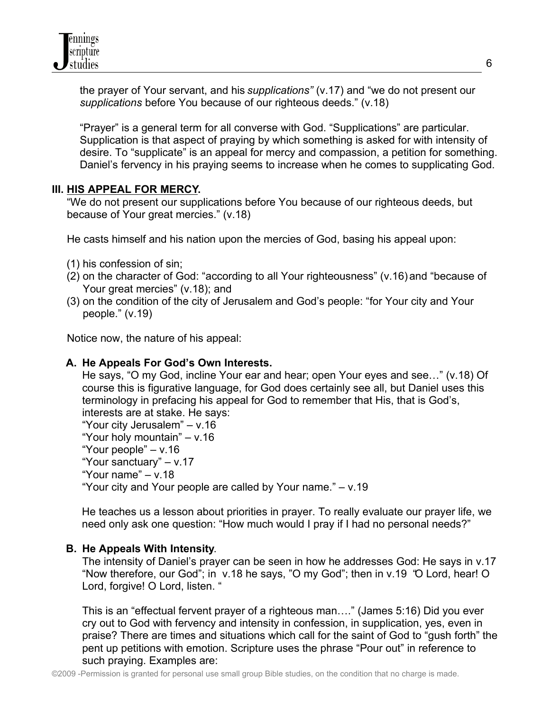

the prayer of Your servant, and his *supplications"* (v.17) and "we do not present our *supplications* before You because of our righteous deeds." (v.18)

"Prayer" is a general term for all converse with God. "Supplications" are particular. Supplication is that aspect of praying by which something is asked for with intensity of desire. To "supplicate" is an appeal for mercy and compassion, a petition for something. Daniel's fervency in his praying seems to increase when he comes to supplicating God.

#### **III. HIS APPEAL FOR MERCY.**

 "We do not present our supplications before You because of our righteous deeds, but because of Your great mercies." (v.18)

He casts himself and his nation upon the mercies of God, basing his appeal upon:

- (1) his confession of sin;
- (2) on the character of God: "according to all Your righteousness" (v.16) and "because of Your great mercies" (v.18); and
- (3) on the condition of the city of Jerusalem and God's people: "for Your city and Your people." (v.19)

Notice now, the nature of his appeal:

#### **A. He Appeals For God's Own Interests.**

He says, "O my God, incline Your ear and hear; open Your eyes and see…" (v.18) Of course this is figurative language, for God does certainly see all, but Daniel uses this terminology in prefacing his appeal for God to remember that His, that is God's, interests are at stake. He says:

"Your city Jerusalem" – v.16 "Your holy mountain" – v.16 "Your people" – v.16 "Your sanctuary" – v.17 "Your name" – v.18

"Your city and Your people are called by Your name." – v.19

He teaches us a lesson about priorities in prayer. To really evaluate our prayer life, we

need only ask one question: "How much would I pray if I had no personal needs?"

#### **B. He Appeals With Intensity**.

The intensity of Daniel's prayer can be seen in how he addresses God: He says in v.17 "Now therefore, our God"; in v.18 he says, "O my God"; then in v.19 "O Lord, hear! O Lord, forgive! O Lord, listen. "

This is an "effectual fervent prayer of a righteous man…." (James 5:16) Did you ever cry out to God with fervency and intensity in confession, in supplication, yes, even in praise? There are times and situations which call for the saint of God to "gush forth" the pent up petitions with emotion. Scripture uses the phrase "Pour out" in reference to such praying. Examples are: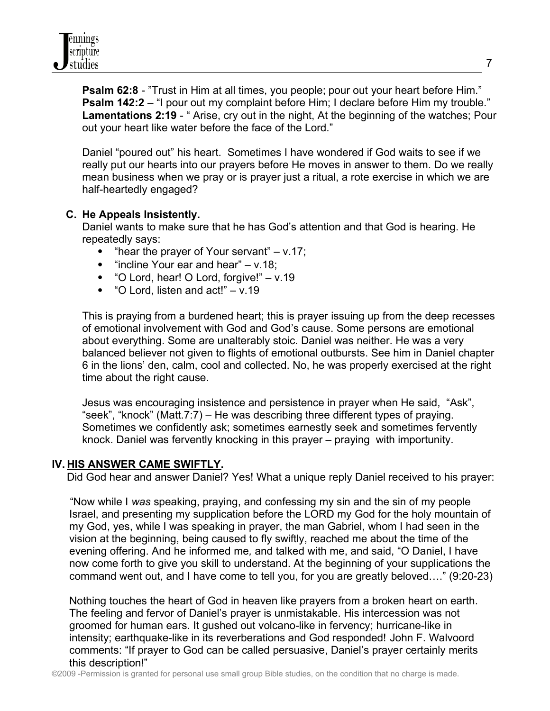**[Psalm 62:8](http://www.biblegateway.com/passage/?book_id=23&chapter=62&verse=8&version=50&context=verse)** - "Trust in Him at all times, you people; pour out your heart before Him." **[Psalm 142:2](http://www.biblegateway.com/passage/?book_id=23&chapter=142&verse=2&version=50&context=verse)** – "I pour out my complaint before Him; I declare before Him my trouble." [Lamentations 2:19](http://www.biblegateway.com/passage/?book_id=31&chapter=2&verse=19&version=50&context=verse) - " Arise, cry out in the night, At the beginning of the watches; Pour out your heart like water before the face of the Lord."

Daniel "poured out" his heart. Sometimes I have wondered if God waits to see if we really put our hearts into our prayers before He moves in answer to them. Do we really mean business when we pray or is prayer just a ritual, a rote exercise in which we are half-heartedly engaged?

# **C. He Appeals Insistently.**

Daniel wants to make sure that he has God's attention and that God is hearing. He repeatedly says:

- "hear the prayer of Your servant"  $v.17$ ;
- $\bullet$  "incline Your ear and hear" v.18;
- "O Lord, hear! O Lord, forgive!" v.19
- $\bullet$  "O Lord, listen and act!" v.19

This is praying from a burdened heart; this is prayer issuing up from the deep recesses of emotional involvement with God and God's cause. Some persons are emotional about everything. Some are unalterably stoic. Daniel was neither. He was a very balanced believer not given to flights of emotional outbursts. See him in Daniel chapter 6 in the lions' den, calm, cool and collected. No, he was properly exercised at the right time about the right cause.

Jesus was encouraging insistence and persistence in prayer when He said, "Ask", "seek", "knock" (Matt.7:7) – He was describing three different types of praying. Sometimes we confidently ask; sometimes earnestly seek and sometimes fervently knock. Daniel was fervently knocking in this prayer – praying with importunity.

# **IV. HIS ANSWER CAME SWIFTLY.**

Did God hear and answer Daniel? Yes! What a unique reply Daniel received to his prayer:

 "Now while I *was* speaking, praying, and confessing my sin and the sin of my people Israel, and presenting my supplication before the LORD my God for the holy mountain of my God, yes, while I was speaking in prayer, the man Gabriel, whom I had seen in the vision at the beginning, being caused to fly swiftly, reached me about the time of the evening offering. And he informed me*,* and talked with me, and said, "O Daniel, I have now come forth to give you skill to understand. At the beginning of your supplications the command went out, and I have come to tell you, for you are greatly beloved…." (9:20-23)

Nothing touches the heart of God in heaven like prayers from a broken heart on earth. The feeling and fervor of Daniel's prayer is unmistakable. His intercession was not groomed for human ears. It gushed out volcano-like in fervency; hurricane-like in intensity; earthquake-like in its reverberations and God responded! John F. Walvoord comments: "If prayer to God can be called persuasive, Daniel's prayer certainly merits this description!"